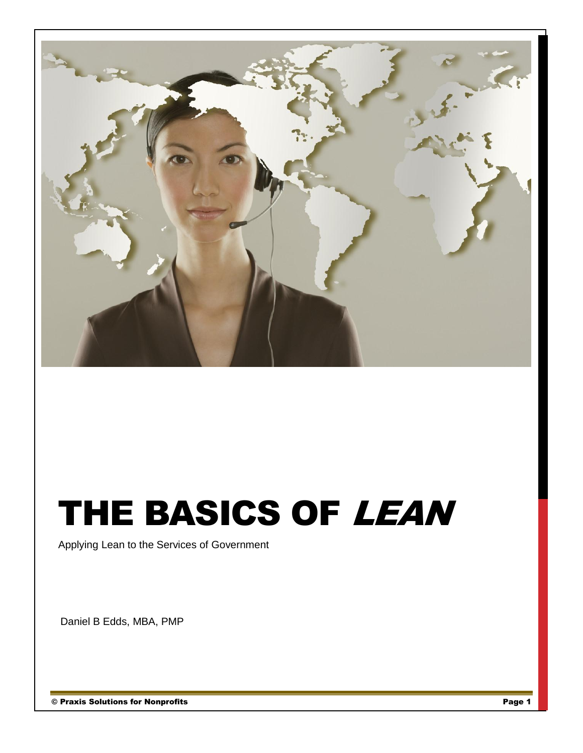

# THE BASICS OF LEAN

Applying Lean to the Services of Government

Daniel B Edds, MBA, PMP

© Praxis Solutions for Nonprofits Page 1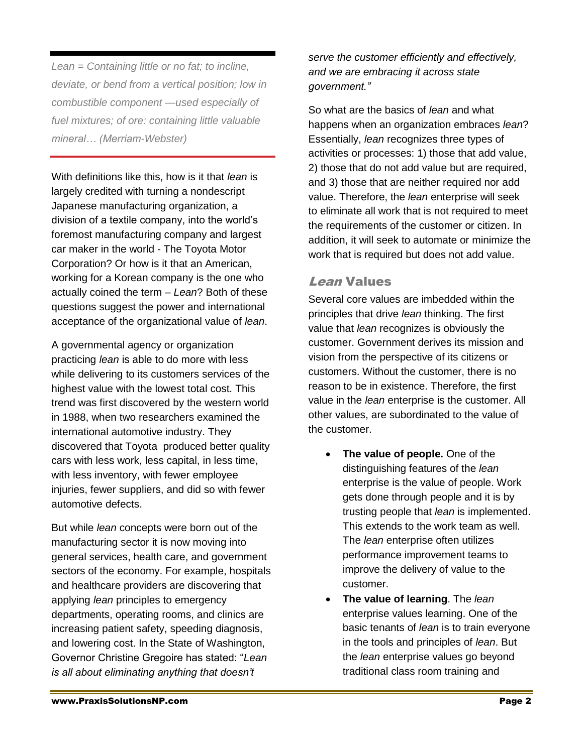*Lean = Containing little or no fat; to incline, deviate, or bend from a vertical position; low in combustible component —used especially of fuel mixtures; of ore: containing little valuable mineral… (Merriam-Webster)*

With definitions like this, how is it that *lean* is largely credited with turning a nondescript Japanese manufacturing organization, a division of a textile company, into the world's foremost manufacturing company and largest car maker in the world - The Toyota Motor Corporation? Or how is it that an American, working for a Korean company is the one who actually coined the term – *Lean*? Both of these questions suggest the power and international acceptance of the organizational value of *lean*.

A governmental agency or organization practicing *lean* is able to do more with less while delivering to its customers services of the highest value with the lowest total cost. This trend was first discovered by the western world in 1988, when two researchers examined the international automotive industry. They discovered that Toyota produced better quality cars with less work, less capital, in less time, with less inventory, with fewer employee injuries, fewer suppliers, and did so with fewer automotive defects.

But while *lean* concepts were born out of the manufacturing sector it is now moving into general services, health care, and government sectors of the economy. For example, hospitals and healthcare providers are discovering that applying *lean* principles to emergency departments, operating rooms, and clinics are increasing patient safety, speeding diagnosis, and lowering cost. In the State of Washington, Governor Christine Gregoire has stated: "*Lean is all about eliminating anything that doesn't* 

*serve the customer efficiently and effectively, and we are embracing it across state government."*

So what are the basics of *lean* and what happens when an organization embraces *lean*? Essentially, *lean* recognizes three types of activities or processes: 1) those that add value, 2) those that do not add value but are required, and 3) those that are neither required nor add value. Therefore, the *lean* enterprise will seek to eliminate all work that is not required to meet the requirements of the customer or citizen. In addition, it will seek to automate or minimize the work that is required but does not add value.

### Lean Values

Several core values are imbedded within the principles that drive *lean* thinking. The first value that *lean* recognizes is obviously the customer. Government derives its mission and vision from the perspective of its citizens or customers. Without the customer, there is no reason to be in existence. Therefore, the first value in the *lean* enterprise is the customer. All other values, are subordinated to the value of the customer.

- **The value of people.** One of the distinguishing features of the *lean* enterprise is the value of people. Work gets done through people and it is by trusting people that *lean* is implemented. This extends to the work team as well. The *lean* enterprise often utilizes performance improvement teams to improve the delivery of value to the customer.
- **The value of learning**. The *lean* enterprise values learning. One of the basic tenants of *lean* is to train everyone in the tools and principles of *lean*. But the *lean* enterprise values go beyond traditional class room training and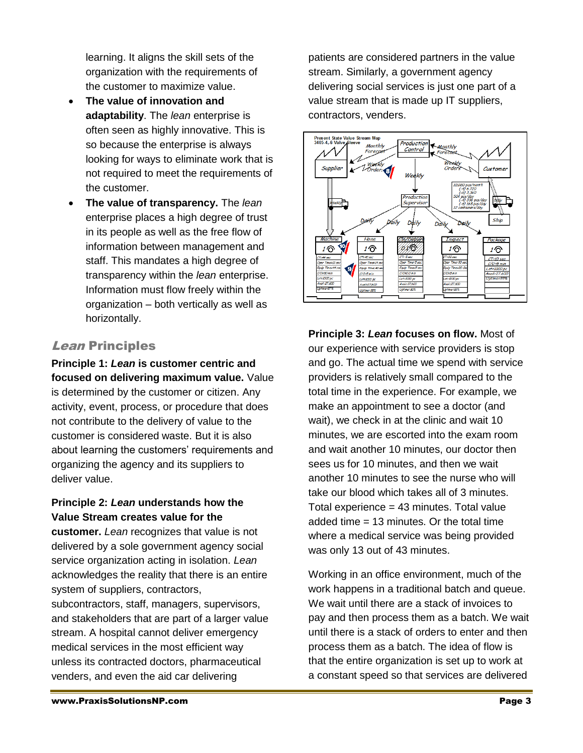learning. It aligns the skill sets of the organization with the requirements of the customer to maximize value.

- **The value of innovation and adaptability**. The *lean* enterprise is often seen as highly innovative. This is so because the enterprise is always looking for ways to eliminate work that is not required to meet the requirements of the customer.
- **The value of transparency.** The *lean* enterprise places a high degree of trust in its people as well as the free flow of information between management and staff. This mandates a high degree of transparency within the *lean* enterprise. Information must flow freely within the organization – both vertically as well as horizontally.

## *Lean* Principles

**Principle 1:** *Lean* **is customer centric and focused on delivering maximum value.** Value is determined by the customer or citizen. Any activity, event, process, or procedure that does not contribute to the delivery of value to the customer is considered waste. But it is also about learning the customers' requirements and organizing the agency and its suppliers to deliver value.

#### **Principle 2:** *Lean* **understands how the Value Stream creates value for the**

**customer.** *Lean* recognizes that value is not delivered by a sole government agency social service organization acting in isolation. *Lean* acknowledges the reality that there is an entire system of suppliers, contractors, subcontractors, staff, managers, supervisors,

and stakeholders that are part of a larger value stream. A hospital cannot deliver emergency medical services in the most efficient way unless its contracted doctors, pharmaceutical venders, and even the aid car delivering

patients are considered partners in the value stream. Similarly, a government agency delivering social services is just one part of a value stream that is made up IT suppliers, contractors, venders.



**Principle 3:** *Lean* **focuses on flow.** Most of our experience with service providers is stop and go. The actual time we spend with service providers is relatively small compared to the total time in the experience. For example, we make an appointment to see a doctor (and wait), we check in at the clinic and wait 10 minutes, we are escorted into the exam room and wait another 10 minutes, our doctor then sees us for 10 minutes, and then we wait another 10 minutes to see the nurse who will take our blood which takes all of 3 minutes. Total experience  $= 43$  minutes. Total value added time = 13 minutes. Or the total time where a medical service was being provided was only 13 out of 43 minutes.

Working in an office environment, much of the work happens in a traditional batch and queue. We wait until there are a stack of invoices to pay and then process them as a batch. We wait until there is a stack of orders to enter and then process them as a batch. The idea of flow is that the entire organization is set up to work at a constant speed so that services are delivered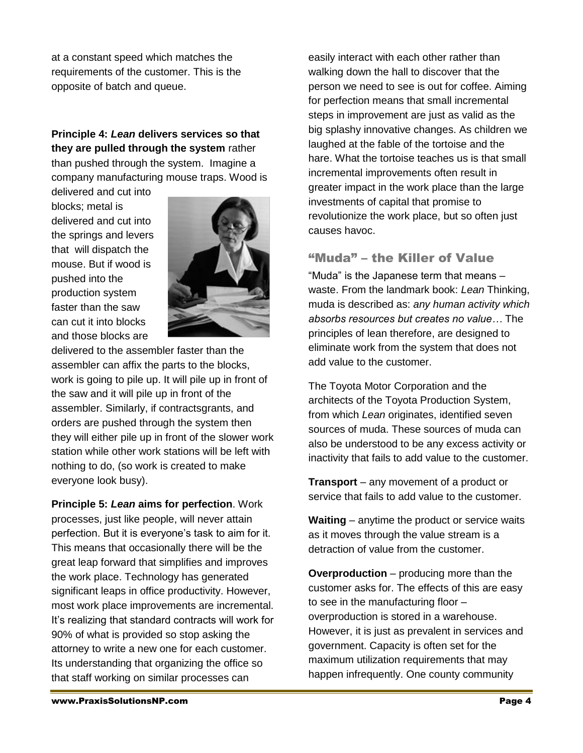at a constant speed which matches the requirements of the customer. This is the opposite of batch and queue.

**Principle 4:** *Lean* **delivers services so that they are pulled through the system** rather than pushed through the system. Imagine a company manufacturing mouse traps. Wood is

delivered and cut into blocks; metal is delivered and cut into the springs and levers that will dispatch the mouse. But if wood is pushed into the production system faster than the saw can cut it into blocks and those blocks are



delivered to the assembler faster than the assembler can affix the parts to the blocks, work is going to pile up. It will pile up in front of the saw and it will pile up in front of the assembler. Similarly, if contractsgrants, and orders are pushed through the system then they will either pile up in front of the slower work station while other work stations will be left with nothing to do, (so work is created to make everyone look busy).

**Principle 5:** *Lean* **aims for perfection**. Work processes, just like people, will never attain perfection. But it is everyone's task to aim for it. This means that occasionally there will be the great leap forward that simplifies and improves the work place. Technology has generated significant leaps in office productivity. However, most work place improvements are incremental. It's realizing that standard contracts will work for 90% of what is provided so stop asking the attorney to write a new one for each customer. Its understanding that organizing the office so that staff working on similar processes can

easily interact with each other rather than walking down the hall to discover that the person we need to see is out for coffee. Aiming for perfection means that small incremental steps in improvement are just as valid as the big splashy innovative changes. As children we laughed at the fable of the tortoise and the hare. What the tortoise teaches us is that small incremental improvements often result in greater impact in the work place than the large investments of capital that promise to revolutionize the work place, but so often just causes havoc.

#### "Muda" – the Killer of Value

"Muda" is the Japanese term that means – waste. From the landmark book: *Lean* Thinking, muda is described as: *any human activity which absorbs resources but creates no value…* The principles of lean therefore, are designed to eliminate work from the system that does not add value to the customer.

The Toyota Motor Corporation and the architects of the Toyota Production System, from which *Lean* originates, identified seven sources of muda. These sources of muda can also be understood to be any excess activity or inactivity that fails to add value to the customer.

**Transport** – any movement of a product or service that fails to add value to the customer.

**Waiting** – anytime the product or service waits as it moves through the value stream is a detraction of value from the customer.

**Overproduction** – producing more than the customer asks for. The effects of this are easy to see in the manufacturing floor – overproduction is stored in a warehouse. However, it is just as prevalent in services and government. Capacity is often set for the maximum utilization requirements that may happen infrequently. One county community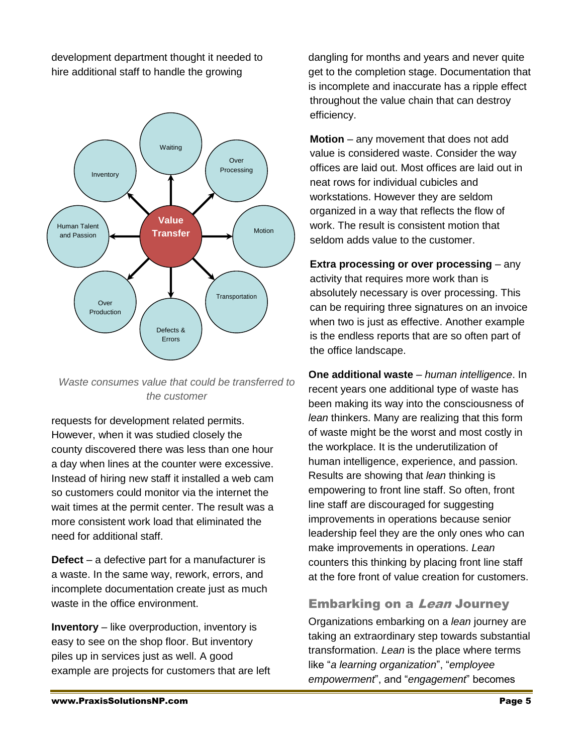development department thought it needed to hire additional staff to handle the growing





requests for development related permits. However, when it was studied closely the county discovered there was less than one hour a day when lines at the counter were excessive. Instead of hiring new staff it installed a web cam so customers could monitor via the internet the wait times at the permit center. The result was a more consistent work load that eliminated the need for additional staff.

**Defect** – a defective part for a manufacturer is a waste. In the same way, rework, errors, and incomplete documentation create just as much waste in the office environment.

**Inventory** – like overproduction, inventory is easy to see on the shop floor. But inventory piles up in services just as well. A good example are projects for customers that are left dangling for months and years and never quite get to the completion stage. Documentation that is incomplete and inaccurate has a ripple effect throughout the value chain that can destroy efficiency.

**Motion** – any movement that does not add value is considered waste. Consider the way offices are laid out. Most offices are laid out in neat rows for individual cubicles and workstations. However they are seldom organized in a way that reflects the flow of work. The result is consistent motion that seldom adds value to the customer.

**Extra processing or over processing** – any activity that requires more work than is absolutely necessary is over processing. This can be requiring three signatures on an invoice when two is just as effective. Another example is the endless reports that are so often part of the office landscape.

**One additional waste** – *human intelligence*. In recent years one additional type of waste has been making its way into the consciousness of *lean* thinkers. Many are realizing that this form of waste might be the worst and most costly in the workplace. It is the underutilization of human intelligence, experience, and passion. Results are showing that *lean* thinking is empowering to front line staff. So often, front line staff are discouraged for suggesting improvements in operations because senior leadership feel they are the only ones who can make improvements in operations. *Lean* counters this thinking by placing front line staff at the fore front of value creation for customers.

# Embarking on a Lean Journey

Organizations embarking on a *lean* journey are taking an extraordinary step towards substantial transformation. *Lean* is the place where terms like "*a learning organization*", "*employee empowerment*", and "*engagement*" becomes